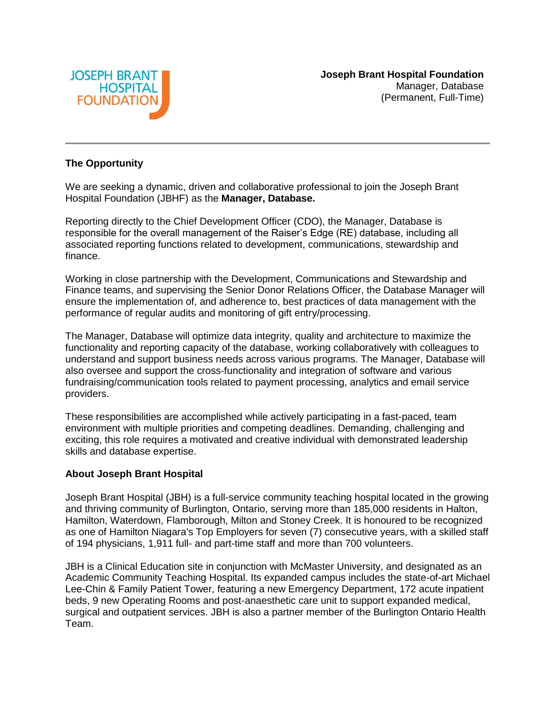

### **The Opportunity**

We are seeking a dynamic, driven and collaborative professional to join the Joseph Brant Hospital Foundation (JBHF) as the **Manager, Database.** 

Reporting directly to the Chief Development Officer (CDO), the Manager, Database is responsible for the overall management of the Raiser's Edge (RE) database, including all associated reporting functions related to development, communications, stewardship and finance.

Working in close partnership with the Development, Communications and Stewardship and Finance teams, and supervising the Senior Donor Relations Officer, the Database Manager will ensure the implementation of, and adherence to, best practices of data management with the performance of regular audits and monitoring of gift entry/processing.

The Manager, Database will optimize data integrity, quality and architecture to maximize the functionality and reporting capacity of the database, working collaboratively with colleagues to understand and support business needs across various programs. The Manager, Database will also oversee and support the cross-functionality and integration of software and various fundraising/communication tools related to payment processing, analytics and email service providers.

These responsibilities are accomplished while actively participating in a fast-paced, team environment with multiple priorities and competing deadlines. Demanding, challenging and exciting, this role requires a motivated and creative individual with demonstrated leadership skills and database expertise.

#### **About Joseph Brant Hospital**

Joseph Brant Hospital (JBH) is a full-service community teaching hospital located in the growing and thriving community of Burlington, Ontario, serving more than 185,000 residents in Halton, Hamilton, Waterdown, Flamborough, Milton and Stoney Creek. It is honoured to be recognized as one of Hamilton Niagara's Top Employers for seven (7) consecutive years, with a skilled staff of 194 physicians, 1,911 full- and part-time staff and more than 700 volunteers.

JBH is a Clinical Education site in conjunction with McMaster University, and designated as an Academic Community Teaching Hospital. Its expanded campus includes the state-of-art Michael Lee-Chin & Family Patient Tower, featuring a new Emergency Department, 172 acute inpatient beds, 9 new Operating Rooms and post-anaesthetic care unit to support expanded medical, surgical and outpatient services. JBH is also a partner member of the Burlington Ontario Health Team.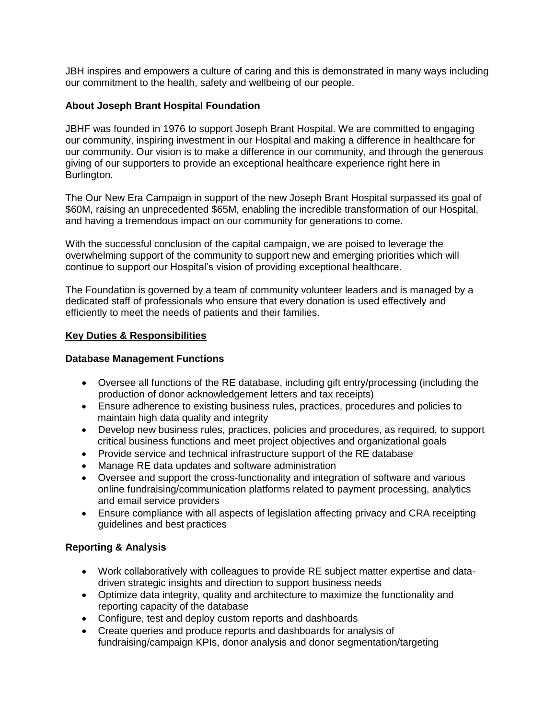JBH inspires and empowers a culture of caring and this is demonstrated in many ways including our commitment to the health, safety and wellbeing of our people.

# **About Joseph Brant Hospital Foundation**

JBHF was founded in 1976 to support Joseph Brant Hospital. We are committed to engaging our community, inspiring investment in our Hospital and making a difference in healthcare for our community. Our vision is to make a difference in our community, and through the generous giving of our supporters to provide an exceptional healthcare experience right here in Burlington.

The Our New Era Campaign in support of the new Joseph Brant Hospital surpassed its goal of \$60M, raising an unprecedented \$65M, enabling the incredible transformation of our Hospital, and having a tremendous impact on our community for generations to come.

With the successful conclusion of the capital campaign, we are poised to leverage the overwhelming support of the community to support new and emerging priorities which will continue to support our Hospital's vision of providing exceptional healthcare.

The Foundation is governed by a team of community volunteer leaders and is managed by a dedicated staff of professionals who ensure that every donation is used effectively and efficiently to meet the needs of patients and their families.

# **Key Duties & Responsibilities**

### **Database Management Functions**

- Oversee all functions of the RE database, including gift entry/processing (including the production of donor acknowledgement letters and tax receipts)
- Ensure adherence to existing business rules, practices, procedures and policies to maintain high data quality and integrity
- Develop new business rules, practices, policies and procedures, as required, to support critical business functions and meet project objectives and organizational goals
- Provide service and technical infrastructure support of the RE database
- Manage RE data updates and software administration
- Oversee and support the cross-functionality and integration of software and various online fundraising/communication platforms related to payment processing, analytics and email service providers
- Ensure compliance with all aspects of legislation affecting privacy and CRA receipting guidelines and best practices

# **Reporting & Analysis**

- Work collaboratively with colleagues to provide RE subject matter expertise and datadriven strategic insights and direction to support business needs
- Optimize data integrity, quality and architecture to maximize the functionality and reporting capacity of the database
- Configure, test and deploy custom reports and dashboards
- Create queries and produce reports and dashboards for analysis of fundraising/campaign KPIs, donor analysis and donor segmentation/targeting